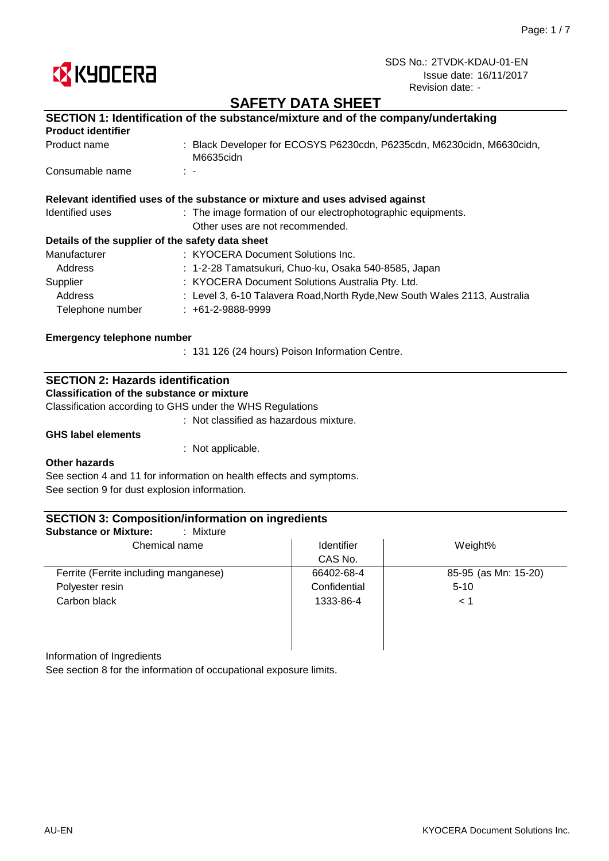

## **SAFETY DATA SHEET**

|                                                                               | SECTION 1: Identification of the substance/mixture and of the company/undertaking   |  |
|-------------------------------------------------------------------------------|-------------------------------------------------------------------------------------|--|
| <b>Product identifier</b>                                                     |                                                                                     |  |
| Product name                                                                  | : Black Developer for ECOSYS P6230cdn, P6235cdn, M6230cidn, M6630cidn,<br>M6635cidn |  |
| Consumable name                                                               | $\mathbb{R}^n$                                                                      |  |
| Relevant identified uses of the substance or mixture and uses advised against |                                                                                     |  |
| Identified uses                                                               | : The image formation of our electrophotographic equipments.                        |  |
|                                                                               | Other uses are not recommended.                                                     |  |
| Details of the supplier of the safety data sheet                              |                                                                                     |  |
| Manufacturer                                                                  | : KYOCERA Document Solutions Inc.                                                   |  |
| Address                                                                       | : 1-2-28 Tamatsukuri, Chuo-ku, Osaka 540-8585, Japan                                |  |
| Supplier                                                                      | : KYOCERA Document Solutions Australia Pty. Ltd.                                    |  |
| Address                                                                       | : Level 3, 6-10 Talavera Road, North Ryde, New South Wales 2113, Australia          |  |
| Telephone number                                                              | $: +61-2-9888-9999$                                                                 |  |

#### **Emergency telephone number**

: 131 126 (24 hours) Poison Information Centre.

### **SECTION 2: Hazards identification**

**Classification of the substance or mixture**

Classification according to GHS under the WHS Regulations

: Not classified as hazardous mixture.

**GHS label elements**

: Not applicable.

#### **Other hazards**

See section 4 and 11 for information on health effects and symptoms. See section 9 for dust explosion information.

### **SECTION 3: Composition/information on ingredients**

| : Mixture<br><b>Substance or Mixture:</b> |              |                      |
|-------------------------------------------|--------------|----------------------|
| Chemical name                             | Identifier   | Weight%              |
|                                           | CAS No.      |                      |
| Ferrite (Ferrite including manganese)     | 66402-68-4   | 85-95 (as Mn: 15-20) |
| Polyester resin                           | Confidential | $5 - 10$             |
| Carbon black                              | 1333-86-4    | $\leq 1$             |
|                                           |              |                      |
|                                           |              |                      |

Information of Ingredients

See section 8 for the information of occupational exposure limits.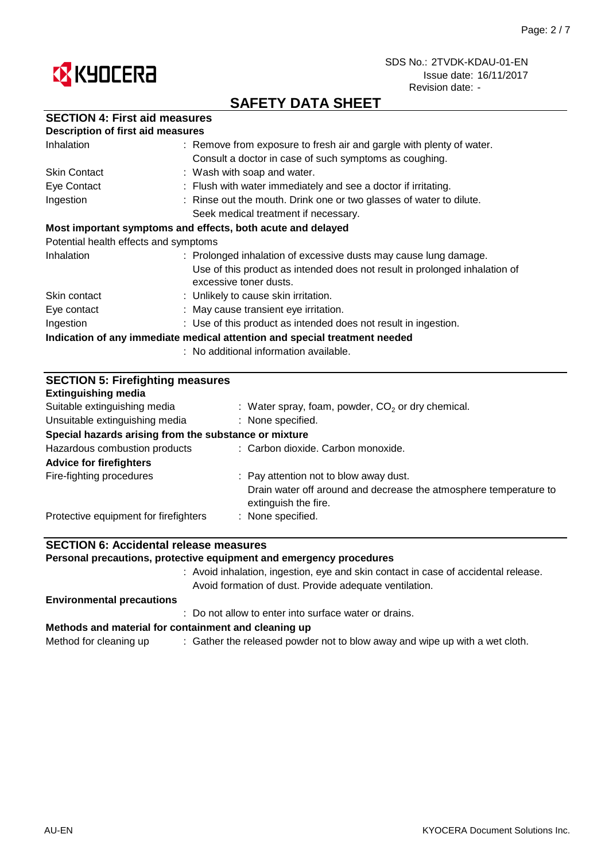



## **SAFETY DATA SHEET**

|  |  |  | <b>SECTION 4: First aid measures</b> |
|--|--|--|--------------------------------------|
|--|--|--|--------------------------------------|

| <b>Description of first aid measures</b>                                   |                                                                                                      |  |
|----------------------------------------------------------------------------|------------------------------------------------------------------------------------------------------|--|
| Inhalation                                                                 | : Remove from exposure to fresh air and gargle with plenty of water.                                 |  |
|                                                                            | Consult a doctor in case of such symptoms as coughing.                                               |  |
| <b>Skin Contact</b>                                                        | : Wash with soap and water.                                                                          |  |
| Eye Contact                                                                | : Flush with water immediately and see a doctor if irritating.                                       |  |
| Ingestion                                                                  | : Rinse out the mouth. Drink one or two glasses of water to dilute.                                  |  |
|                                                                            | Seek medical treatment if necessary.                                                                 |  |
|                                                                            | Most important symptoms and effects, both acute and delayed                                          |  |
| Potential health effects and symptoms                                      |                                                                                                      |  |
| Inhalation                                                                 | : Prolonged inhalation of excessive dusts may cause lung damage.                                     |  |
|                                                                            | Use of this product as intended does not result in prolonged inhalation of<br>excessive toner dusts. |  |
| Skin contact                                                               | : Unlikely to cause skin irritation.                                                                 |  |
| Eye contact                                                                | : May cause transient eye irritation.                                                                |  |
| Ingestion                                                                  | : Use of this product as intended does not result in ingestion.                                      |  |
| Indication of any immediate medical attention and special treatment needed |                                                                                                      |  |
|                                                                            | : No additional information available.                                                               |  |

| <b>SECTION 5: Firefighting measures</b>               |                                                                                           |  |  |
|-------------------------------------------------------|-------------------------------------------------------------------------------------------|--|--|
| <b>Extinguishing media</b>                            |                                                                                           |  |  |
| Suitable extinguishing media                          | : Water spray, foam, powder, $CO2$ or dry chemical.                                       |  |  |
| Unsuitable extinguishing media                        | : None specified.                                                                         |  |  |
| Special hazards arising from the substance or mixture |                                                                                           |  |  |
| Hazardous combustion products                         | : Carbon dioxide. Carbon monoxide.                                                        |  |  |
| <b>Advice for firefighters</b>                        |                                                                                           |  |  |
| Fire-fighting procedures                              | : Pay attention not to blow away dust.                                                    |  |  |
|                                                       | Drain water off around and decrease the atmosphere temperature to<br>extinguish the fire. |  |  |
| Protective equipment for firefighters                 | : None specified.                                                                         |  |  |

### **SECTION 6: Accidental release measures**

**Personal precautions, protective equipment and emergency procedures**

: Avoid inhalation, ingestion, eye and skin contact in case of accidental release. Avoid formation of dust. Provide adequate ventilation.

```
Environmental precautions
```
: Do not allow to enter into surface water or drains.

#### **Methods and material for containment and cleaning up**

Method for cleaning up  $\qquad \qquad :$  Gather the released powder not to blow away and wipe up with a wet cloth.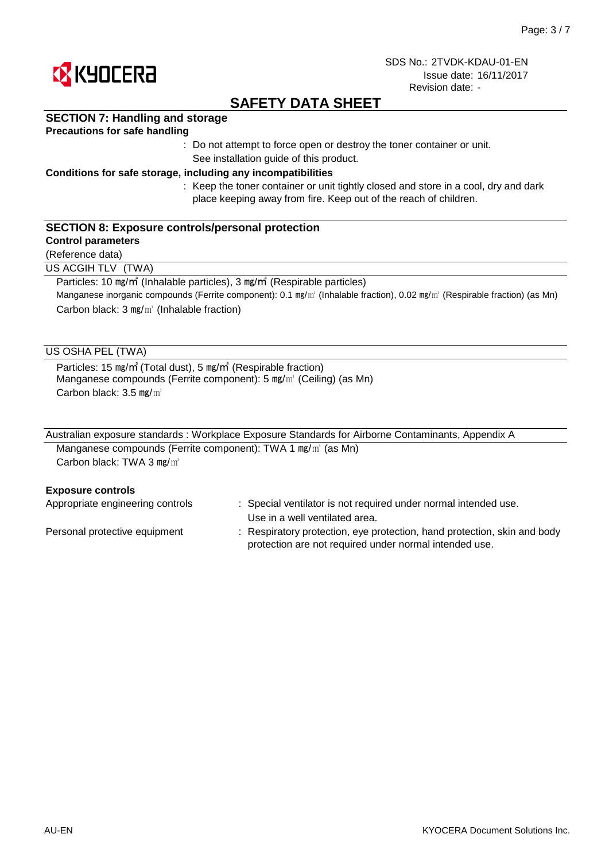

## **SAFETY DATA SHEET**

## **SECTION 7: Handling and storage**

#### **Precautions for safe handling**

: Do not attempt to force open or destroy the toner container or unit. See installation guide of this product.

#### **Conditions for safe storage, including any incompatibilities**

: Keep the toner container or unit tightly closed and store in a cool, dry and dark place keeping away from fire. Keep out of the reach of children.

### **SECTION 8: Exposure controls/personal protection**

### **Control parameters**

(Reference data)

## US ACGIH TLV (TWA)

Particles: 10 ㎎/㎥ (Inhalable particles), 3 ㎎/㎥ (Respirable particles)

Manganese inorganic compounds (Ferrite component): 0.1  $mg/m$ <sup>1</sup> (Inhalable fraction), 0.02 mg/m<sup>3</sup> (Respirable fraction) (as Mn) Carbon black: 3 ㎎/㎥ (Inhalable fraction)

### US OSHA PEL (TWA)

Particles: 15 ㎎/㎥ (Total dust), 5 ㎎/㎥ (Respirable fraction) Manganese compounds (Ferrite component): 5 mg/m<sup>3</sup> (Ceiling) (as Mn) Carbon black: 3.5 mg/m<sup>3</sup>

| Australian exposure standards : Workplace Exposure Standards for Airborne Contaminants, Appendix A |                                                                 |  |
|----------------------------------------------------------------------------------------------------|-----------------------------------------------------------------|--|
| Manganese compounds (Ferrite component): TWA 1 mg/m <sup>3</sup> (as Mn)                           |                                                                 |  |
| Carbon black: TWA 3 mg/ $m3$                                                                       |                                                                 |  |
| <b>Exposure controls</b>                                                                           |                                                                 |  |
| Appropriate engineering controls                                                                   | : Special ventilator is not required under normal intended use. |  |

|                               | Use in a well ventilated area.                                           |
|-------------------------------|--------------------------------------------------------------------------|
| Personal protective equipment | : Respiratory protection, eye protection, hand protection, skin and body |
|                               | protection are not required under normal intended use.                   |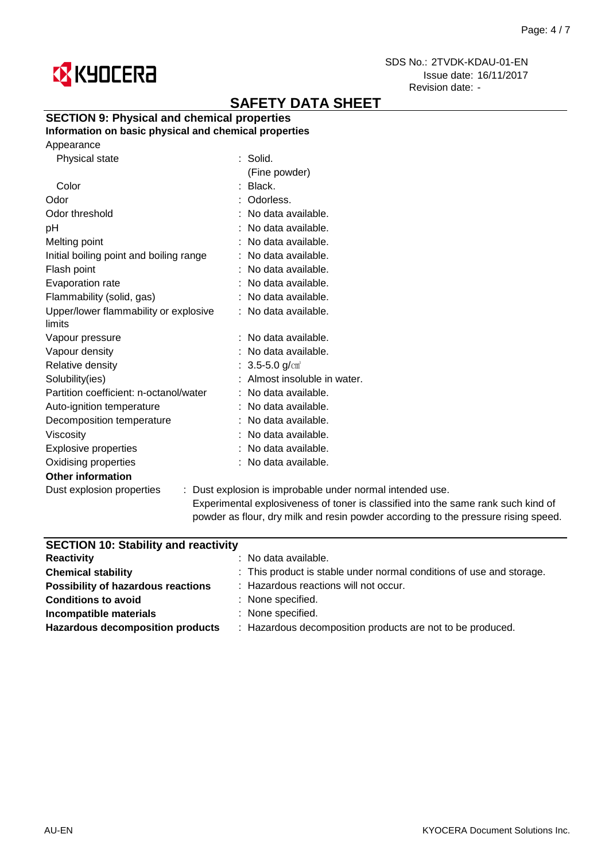

# **SAFETY DATA SHEET**

## **SECTION 9: Physical and chemical properties**

## **Information on basic physical and chemical properties**

Appearance

| Physical state                                  | $:$ Solid.                                                |
|-------------------------------------------------|-----------------------------------------------------------|
|                                                 | (Fine powder)                                             |
| Color                                           | : Black.                                                  |
| Odor                                            | : Odorless.                                               |
| Odor threshold                                  | : No data available.                                      |
| pH                                              | : No data available.                                      |
| Melting point                                   | : No data available.                                      |
| Initial boiling point and boiling range         | : No data available.                                      |
| Flash point                                     | : No data available.                                      |
| Evaporation rate                                | No data available.                                        |
| Flammability (solid, gas)                       | : No data available.                                      |
| Upper/lower flammability or explosive<br>limits | : No data available.                                      |
| Vapour pressure                                 | : No data available.                                      |
| Vapour density                                  | : No data available.                                      |
| Relative density                                | : $3.5 - 5.0$ g/cm <sup>3</sup>                           |
| Solubility(ies)                                 | : Almost insoluble in water.                              |
| Partition coefficient: n-octanol/water          | : No data available.                                      |
| Auto-ignition temperature                       | : No data available.                                      |
| Decomposition temperature                       | : No data available.                                      |
| <b>Viscosity</b>                                | : No data available.                                      |
| <b>Explosive properties</b>                     | : No data available.                                      |
| Oxidising properties                            | : No data available.                                      |
| <b>Other information</b>                        |                                                           |
| Dust explosion properties                       | : Dust explosion is improbable under normal intended use. |

Experimental explosiveness of toner is classified into the same rank such kind of powder as flour, dry milk and resin powder according to the pressure rising speed.

| <b>SECTION 10: Stability and reactivity</b> |                                                                      |
|---------------------------------------------|----------------------------------------------------------------------|
| <b>Reactivity</b>                           | $:$ No data available.                                               |
| <b>Chemical stability</b>                   | : This product is stable under normal conditions of use and storage. |
| <b>Possibility of hazardous reactions</b>   | : Hazardous reactions will not occur.                                |
| <b>Conditions to avoid</b>                  | : None specified.                                                    |
| Incompatible materials                      | : None specified.                                                    |
| <b>Hazardous decomposition products</b>     | : Hazardous decomposition products are not to be produced.           |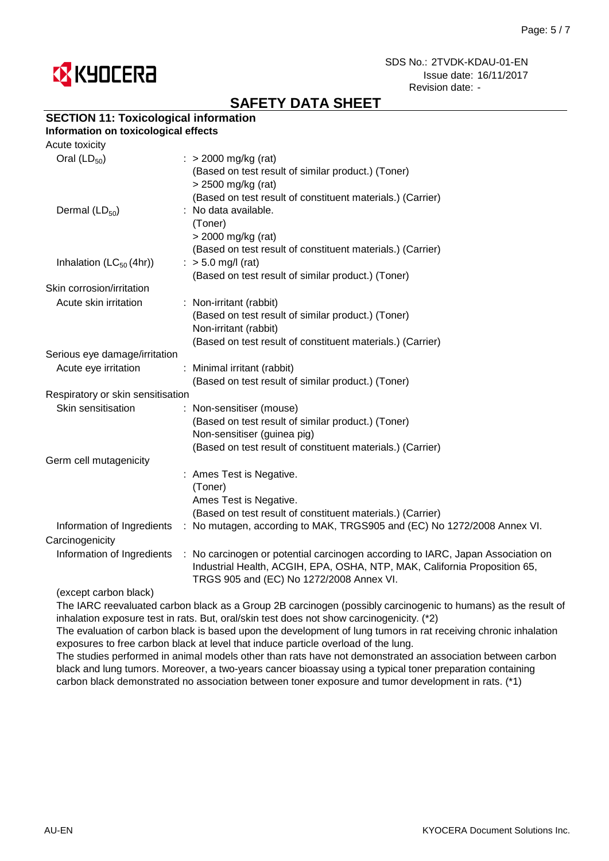

## **SAFETY DATA SHEET**

## **SECTION 11: Toxicological information**

#### **Information on toxicological effects** Acute toxicity

| ACUTE TOXICITY                    |                                                                                                                                                                                                          |
|-----------------------------------|----------------------------------------------------------------------------------------------------------------------------------------------------------------------------------------------------------|
| Oral $(LD_{50})$                  | : $> 2000$ mg/kg (rat)<br>(Based on test result of similar product.) (Toner)<br>> 2500 mg/kg (rat)                                                                                                       |
| Dermal $(LD_{50})$                | (Based on test result of constituent materials.) (Carrier)<br>: No data available.<br>(Toner)<br>> 2000 mg/kg (rat)<br>(Based on test result of constituent materials.) (Carrier)                        |
| Inhalation $(LC_{50}(4hr))$       | : $> 5.0$ mg/l (rat)<br>(Based on test result of similar product.) (Toner)                                                                                                                               |
| Skin corrosion/irritation         |                                                                                                                                                                                                          |
| Acute skin irritation             | : Non-irritant (rabbit)<br>(Based on test result of similar product.) (Toner)<br>Non-irritant (rabbit)<br>(Based on test result of constituent materials.) (Carrier)                                     |
| Serious eye damage/irritation     |                                                                                                                                                                                                          |
| Acute eye irritation              | Minimal irritant (rabbit)<br>÷.<br>(Based on test result of similar product.) (Toner)                                                                                                                    |
| Respiratory or skin sensitisation |                                                                                                                                                                                                          |
| Skin sensitisation                | : Non-sensitiser (mouse)<br>(Based on test result of similar product.) (Toner)<br>Non-sensitiser (guinea pig)<br>(Based on test result of constituent materials.) (Carrier)                              |
| Germ cell mutagenicity            |                                                                                                                                                                                                          |
|                                   | : Ames Test is Negative.<br>(Toner)<br>Ames Test is Negative.<br>(Based on test result of constituent materials.) (Carrier)                                                                              |
| Information of Ingredients        | : No mutagen, according to MAK, TRGS905 and (EC) No 1272/2008 Annex VI.                                                                                                                                  |
| Carcinogenicity                   |                                                                                                                                                                                                          |
| Information of Ingredients        | : No carcinogen or potential carcinogen according to IARC, Japan Association on<br>Industrial Health, ACGIH, EPA, OSHA, NTP, MAK, California Proposition 65,<br>TRGS 905 and (EC) No 1272/2008 Annex VI. |

(except carbon black)

The IARC reevaluated carbon black as a Group 2B carcinogen (possibly carcinogenic to humans) as the result of inhalation exposure test in rats. But, oral/skin test does not show carcinogenicity. (\*2)

The evaluation of carbon black is based upon the development of lung tumors in rat receiving chronic inhalation exposures to free carbon black at level that induce particle overload of the lung.

The studies performed in animal models other than rats have not demonstrated an association between carbon black and lung tumors. Moreover, a two-years cancer bioassay using a typical toner preparation containing carbon black demonstrated no association between toner exposure and tumor development in rats. (\*1)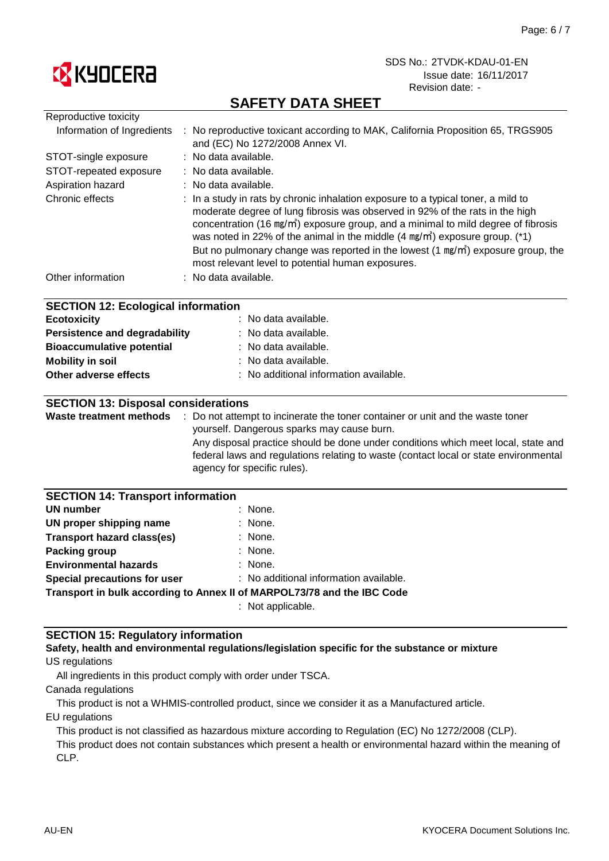

## **SAFETY DATA SHEET**

| Reproductive toxicity                                                                                                                                                                                  |                                                                                                                                                                                                                                                                                                                                                                                                                                                                                                                       |
|--------------------------------------------------------------------------------------------------------------------------------------------------------------------------------------------------------|-----------------------------------------------------------------------------------------------------------------------------------------------------------------------------------------------------------------------------------------------------------------------------------------------------------------------------------------------------------------------------------------------------------------------------------------------------------------------------------------------------------------------|
| Information of Ingredients                                                                                                                                                                             | : No reproductive toxicant according to MAK, California Proposition 65, TRGS905<br>and (EC) No 1272/2008 Annex VI.                                                                                                                                                                                                                                                                                                                                                                                                    |
| STOT-single exposure                                                                                                                                                                                   | : No data available.                                                                                                                                                                                                                                                                                                                                                                                                                                                                                                  |
| STOT-repeated exposure                                                                                                                                                                                 | : No data available.                                                                                                                                                                                                                                                                                                                                                                                                                                                                                                  |
| Aspiration hazard                                                                                                                                                                                      | : No data available.                                                                                                                                                                                                                                                                                                                                                                                                                                                                                                  |
| Chronic effects                                                                                                                                                                                        | : In a study in rats by chronic inhalation exposure to a typical toner, a mild to<br>moderate degree of lung fibrosis was observed in 92% of the rats in the high<br>concentration (16 mg/m <sup>2</sup> ) exposure group, and a minimal to mild degree of fibrosis<br>was noted in 22% of the animal in the middle (4 mg/m <sup>3</sup> ) exposure group. (*1)<br>But no pulmonary change was reported in the lowest (1 mg/m <sup>3</sup> ) exposure group, the<br>most relevant level to potential human exposures. |
| Other information                                                                                                                                                                                      | : No data available.                                                                                                                                                                                                                                                                                                                                                                                                                                                                                                  |
| <b>SECTION 12: Ecological information</b><br><b>Ecotoxicity</b><br><b>Persistence and degradability</b><br><b>Bioaccumulative potential</b><br><b>Mobility in soil</b><br><b>Other adverse effects</b> | : No data available.<br>No data available.<br>No data available.<br>No data available.<br>: No additional information available.                                                                                                                                                                                                                                                                                                                                                                                      |
| <b>SECTION 13: Disposal considerations</b>                                                                                                                                                             |                                                                                                                                                                                                                                                                                                                                                                                                                                                                                                                       |
| <b>Waste treatment methods</b>                                                                                                                                                                         | : Do not attempt to incinerate the toner container or unit and the waste toner                                                                                                                                                                                                                                                                                                                                                                                                                                        |
|                                                                                                                                                                                                        | yourself. Dangerous sparks may cause burn.<br>Any disposal practice should be done under conditions which meet local, state and<br>federal laws and regulations relating to waste (contact local or state environmental<br>agency for specific rules).                                                                                                                                                                                                                                                                |
| <b>SECTION 14: Transport information</b>                                                                                                                                                               |                                                                                                                                                                                                                                                                                                                                                                                                                                                                                                                       |
| <b>UN number</b>                                                                                                                                                                                       | : None.                                                                                                                                                                                                                                                                                                                                                                                                                                                                                                               |
| UN proper shipping name                                                                                                                                                                                | None.                                                                                                                                                                                                                                                                                                                                                                                                                                                                                                                 |
| <b>Transport hazard class(es)</b>                                                                                                                                                                      | None.                                                                                                                                                                                                                                                                                                                                                                                                                                                                                                                 |
| <b>Packing group</b>                                                                                                                                                                                   | None.                                                                                                                                                                                                                                                                                                                                                                                                                                                                                                                 |
| <b>Environmental hazards</b>                                                                                                                                                                           | None.                                                                                                                                                                                                                                                                                                                                                                                                                                                                                                                 |
| Special precautions for user                                                                                                                                                                           | : No additional information available.                                                                                                                                                                                                                                                                                                                                                                                                                                                                                |
|                                                                                                                                                                                                        | Transport in bulk according to Annex II of MARPOL73/78 and the IBC Code                                                                                                                                                                                                                                                                                                                                                                                                                                               |

: Not applicable.

### **SECTION 15: Regulatory information**

### US regulations **Safety, health and environmental regulations/legislation specific for the substance or mixture**

All ingredients in this product comply with order under TSCA.

Canada regulations

This product is not a WHMIS-controlled product, since we consider it as a Manufactured article.

EU regulations

This product is not classified as hazardous mixture according to Regulation (EC) No 1272/2008 (CLP).

This product does not contain substances which present a health or environmental hazard within the meaning of CLP.